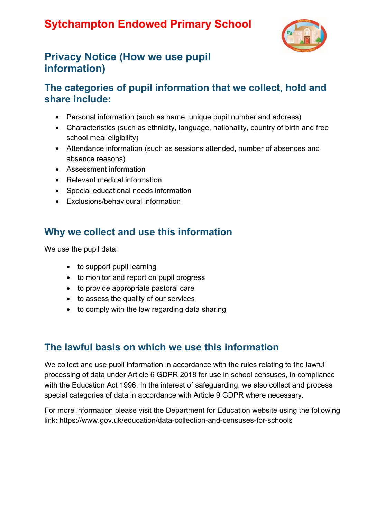# **Sytchampton Endowed Primary School**



## **Privacy Notice (How we use pupil information)**

#### **The categories of pupil information that we collect, hold and share include:**

- Personal information (such as name, unique pupil number and address)
- Characteristics (such as ethnicity, language, nationality, country of birth and free school meal eligibility)
- Attendance information (such as sessions attended, number of absences and absence reasons)
- Assessment information
- Relevant medical information
- Special educational needs information
- Exclusions/behavioural information

#### **Why we collect and use this information**

We use the pupil data:

- to support pupil learning
- to monitor and report on pupil progress
- to provide appropriate pastoral care
- to assess the quality of our services
- to comply with the law regarding data sharing

#### **The lawful basis on which we use this information**

We collect and use pupil information in accordance with the rules relating to the lawful processing of data under Article 6 GDPR 2018 for use in school censuses, in compliance with the Education Act 1996. In the interest of safeguarding, we also collect and process special categories of data in accordance with Article 9 GDPR where necessary.

For more information please visit the Department for Education website using the following link: https://www.gov.uk/education/data-collection-and-censuses-for-schools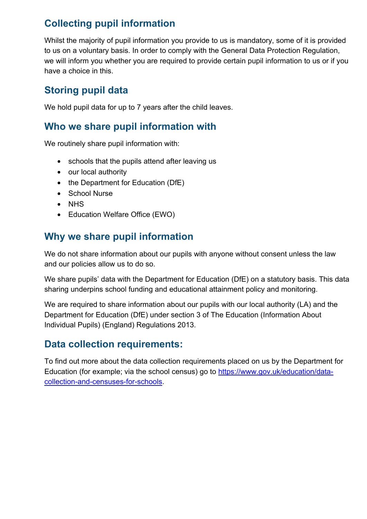## **Collecting pupil information**

Whilst the majority of pupil information you provide to us is mandatory, some of it is provided to us on a voluntary basis. In order to comply with the General Data Protection Regulation, we will inform you whether you are required to provide certain pupil information to us or if you have a choice in this.

### **Storing pupil data**

We hold pupil data for up to 7 years after the child leaves.

#### **Who we share pupil information with**

We routinely share pupil information with:

- schools that the pupils attend after leaving us
- our local authority
- the Department for Education (DfE)
- School Nurse
- NHS
- Education Welfare Office (EWO)

### **Why we share pupil information**

We do not share information about our pupils with anyone without consent unless the law and our policies allow us to do so.

We share pupils' data with the Department for Education (DfE) on a statutory basis. This data sharing underpins school funding and educational attainment policy and monitoring.

We are required to share information about our pupils with our local authority (LA) and the Department for Education (DfE) under section 3 of The Education (Information About Individual Pupils) (England) Regulations 2013.

## **Data collection requirements:**

To find out more about the data collection requirements placed on us by the Department for Education (for example; via the school census) go to https://www.gov.uk/education/datacollection-and-censuses-for-schools.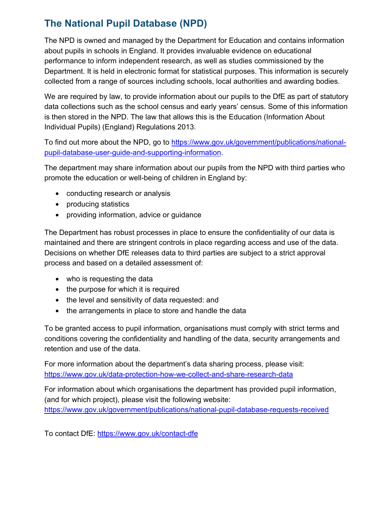## **The National Pupil Database (NPD)**

The NPD is owned and managed by the Department for Education and contains information about pupils in schools in England. It provides invaluable evidence on educational performance to inform independent research, as well as studies commissioned by the Department. It is held in electronic format for statistical purposes. This information is securely collected from a range of sources including schools, local authorities and awarding bodies.

We are required by law, to provide information about our pupils to the DfE as part of statutory data collections such as the school census and early years' census. Some of this information is then stored in the NPD. The law that allows this is the Education (Information About Individual Pupils) (England) Regulations 2013.

To find out more about the NPD, go to https://www.gov.uk/government/publications/nationalpupil-database-user-guide-and-supporting-information.

The department may share information about our pupils from the NPD with third parties who promote the education or well-being of children in England by:

- conducting research or analysis
- producing statistics
- providing information, advice or guidance

The Department has robust processes in place to ensure the confidentiality of our data is maintained and there are stringent controls in place regarding access and use of the data. Decisions on whether DfE releases data to third parties are subject to a strict approval process and based on a detailed assessment of:

- who is requesting the data
- the purpose for which it is required
- the level and sensitivity of data requested: and
- the arrangements in place to store and handle the data

To be granted access to pupil information, organisations must comply with strict terms and conditions covering the confidentiality and handling of the data, security arrangements and retention and use of the data.

For more information about the department's data sharing process, please visit: https://www.gov.uk/data-protection-how-we-collect-and-share-research-data

For information about which organisations the department has provided pupil information, (and for which project), please visit the following website: https://www.gov.uk/government/publications/national-pupil-database-requests-received

To contact DfE: https://www.gov.uk/contact-dfe